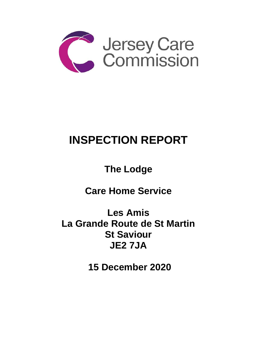

# **INSPECTION REPORT**

**The Lodge** 

**Care Home Service** 

**Les Amis La Grande Route de St Martin St Saviour JE2 7JA**

**15 December 2020**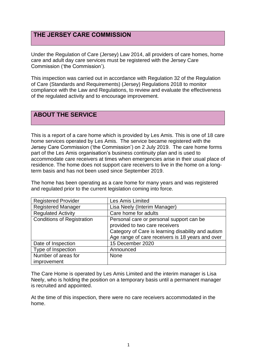# **THE JERSEY CARE COMMISSION**

Under the Regulation of Care (Jersey) Law 2014, all providers of care homes, home care and adult day care services must be registered with the Jersey Care Commission ('the Commission').

This inspection was carried out in accordance with Regulation 32 of the Regulation of Care (Standards and Requirements) (Jersey) Regulations 2018 to monitor compliance with the Law and Regulations, to review and evaluate the effectiveness of the regulated activity and to encourage improvement.

## **ABOUT THE SERVICE**

This is a report of a care home which is provided by Les Amis. This is one of 18 care home services operated by Les Amis. The service became registered with the Jersey Care Commission ('the Commission') on 2 July 2019. The care home forms part of the Les Amis organisation's business continuity plan and is used to accommodate care receivers at times when emergencies arise in their usual place of residence. The home does not support care receivers to live in the home on a longterm basis and has not been used since September 2019.

The home has been operating as a care home for many years and was registered and regulated prior to the current legislation coming into force.

| <b>Registered Provider</b>        | <b>Les Amis Limited</b>                                                                                                                                                              |
|-----------------------------------|--------------------------------------------------------------------------------------------------------------------------------------------------------------------------------------|
| <b>Registered Manager</b>         | Lisa Neely (Interim Manager)                                                                                                                                                         |
| <b>Regulated Activity</b>         | Care home for adults                                                                                                                                                                 |
| <b>Conditions of Registration</b> | Personal care or personal support can be<br>provided to two care receivers<br>Category of Care is learning disability and autism<br>Age range of care receivers is 18 years and over |
| Date of Inspection                | 15 December 2020                                                                                                                                                                     |
| Type of Inspection                | Announced                                                                                                                                                                            |
| Number of areas for               | <b>None</b>                                                                                                                                                                          |
| improvement                       |                                                                                                                                                                                      |

The Care Home is operated by Les Amis Limited and the interim manager is Lisa Neely, who is holding the position on a temporary basis until a permanent manager is recruited and appointed.

At the time of this inspection, there were no care receivers accommodated in the home.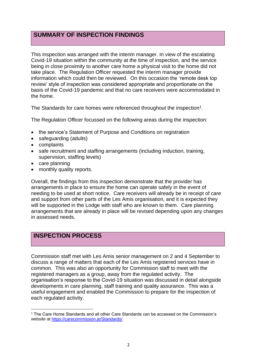# **SUMMARY OF INSPECTION FINDINGS**

This inspection was arranged with the interim manager. In view of the escalating Covid-19 situation within the community at the time of inspection, and the service being in close proximity to another care home a physical visit to the home did not take place. The Regulation Officer requested the interim manager provide information which could then be reviewed. On this occasion the 'remote desk top review' style of inspection was considered appropriate and proportionate on the basis of the Covid-19 pandemic and that no care receivers were accommodated in the home.

The Standards for care homes were referenced throughout the inspection<sup>1</sup>.

The Regulation Officer focussed on the following areas during the inspection:

- the service's Statement of Purpose and Conditions on registration
- safeguarding (adults)
- complaints
- safe recruitment and staffing arrangements (including induction, training, supervision, staffing levels)
- care planning
- monthly quality reports.

Overall, the findings from this inspection demonstrate that the provider has arrangements in place to ensure the home can operate safely in the event of needing to be used at short notice. Care receivers will already be in receipt of care and support from other parts of the Les Amis organisation, and it is expected they will be supported in the Lodge with staff who are known to them. Care planning arrangements that are already in place will be revised depending upon any changes in assessed needs.

# **INSPECTION PROCESS**

Commission staff met with Les Amis senior management on 2 and 4 September to discuss a range of matters that each of the Les Amis registered services have in common. This was also an opportunity for Commission staff to meet with the registered managers as a group, away from the regulated activity. The organisation's response to the Covid-19 situation was discussed in detail alongside developments in care planning, staff training and quality assurance. This was a useful engagement and enabled the Commission to prepare for the inspection of each regulated activity.

<sup>1</sup> The Care Home Standards and all other Care Standards can be accessed on the Commission's website at [https://carecommission.je/Standards/](https://carecommission.je/standards/)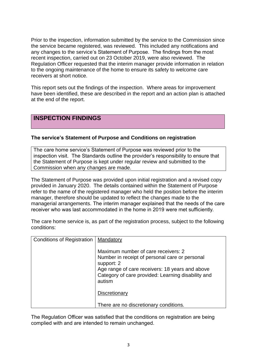Prior to the inspection, information submitted by the service to the Commission since the service became registered, was reviewed. This included any notifications and any changes to the service's Statement of Purpose. The findings from the most recent inspection, carried out on 23 October 2019, were also reviewed. The Regulation Officer requested that the interim manager provide information in relation to the ongoing maintenance of the home to ensure its safety to welcome care receivers at short notice.

This report sets out the findings of the inspection. Where areas for improvement have been identified, these are described in the report and an action plan is attached at the end of the report.

### **INSPECTION FINDINGS**

#### **The service's Statement of Purpose and Conditions on registration**

The care home service's Statement of Purpose was reviewed prior to the inspection visit. The Standards outline the provider's responsibility to ensure that the Statement of Purpose is kept under regular review and submitted to the Commission when any changes are made.

The Statement of Purpose was provided upon initial registration and a revised copy provided in January 2020. The details contained within the Statement of Purpose refer to the name of the registered manager who held the position before the interim manager, therefore should be updated to reflect the changes made to the managerial arrangements. The interim manager explained that the needs of the care receiver who was last accommodated in the home in 2019 were met sufficiently.

The care home service is, as part of the registration process, subject to the following conditions:

| <b>Conditions of Registration</b> | Mandatory                                                                                                                                                                                                              |
|-----------------------------------|------------------------------------------------------------------------------------------------------------------------------------------------------------------------------------------------------------------------|
|                                   | Maximum number of care receivers: 2<br>Number in receipt of personal care or personal<br>support: 2<br>Age range of care receivers: 18 years and above<br>Category of care provided: Learning disability and<br>autism |
|                                   | Discretionary                                                                                                                                                                                                          |
|                                   | There are no discretionary conditions.                                                                                                                                                                                 |

The Regulation Officer was satisfied that the conditions on registration are being complied with and are intended to remain unchanged.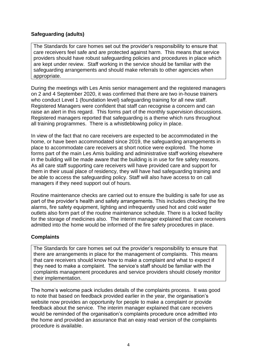#### **Safeguarding (adults)**

The Standards for care homes set out the provider's responsibility to ensure that care receivers feel safe and are protected against harm. This means that service providers should have robust safeguarding policies and procedures in place which are kept under review. Staff working in the service should be familiar with the safeguarding arrangements and should make referrals to other agencies when appropriate.

During the meetings with Les Amis senior management and the registered managers on 2 and 4 September 2020, it was confirmed that there are two in-house trainers who conduct Level 1 (foundation level) safeguarding training for all new staff. Registered Managers were confident that staff can recognise a concern and can raise an alert in this regard. This forms part of the monthly supervision discussions. Registered managers reported that safeguarding is a theme which runs throughout all training programmes. There is a whistleblowing policy in place.

In view of the fact that no care receivers are expected to be accommodated in the home, or have been accommodated since 2019, the safeguarding arrangements in place to accommodate care receivers at short notice were explored. The home forms part of the main Les Amis building and administrative staff working elsewhere in the building will be made aware that the building is in use for fire safety reasons. As all care staff supporting care receivers will have provided care and support for them in their usual place of residency, they will have had safeguarding training and be able to access the safeguarding policy. Staff will also have access to on call managers if they need support out of hours.

Routine maintenance checks are carried out to ensure the building is safe for use as part of the provider's health and safety arrangements. This includes checking the fire alarms, fire safety equipment, lighting and infrequently used hot and cold water outlets also form part of the routine maintenance schedule. There is a locked facility for the storage of medicines also. The interim manager explained that care receivers admitted into the home would be informed of the fire safety procedures in place.

#### **Complaints**

The Standards for care homes set out the provider's responsibility to ensure that there are arrangements in place for the management of complaints. This means that care receivers should know how to make a complaint and what to expect if they need to make a complaint. The service's staff should be familiar with the complaints management procedures and service providers should closely monitor their implementation.

The home's welcome pack includes details of the complaints process. It was good to note that based on feedback provided earlier in the year, the organisation's website now provides an opportunity for people to make a complaint or provide feedback about the service. The interim manager explained that care receivers would be reminded of the organisation's complaints procedure once admitted into the home and provided an assurance that an easy read version of the complaints procedure is available.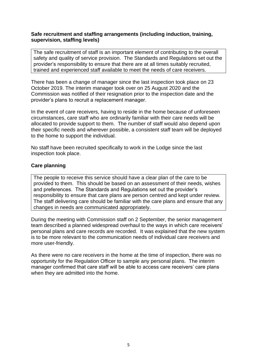#### **Safe recruitment and staffing arrangements (including induction, training, supervision, staffing levels)**

The safe recruitment of staff is an important element of contributing to the overall safety and quality of service provision. The Standards and Regulations set out the provider's responsibility to ensure that there are at all times suitably recruited, trained and experienced staff available to meet the needs of care receivers.

There has been a change of manager since the last inspection took place on 23 October 2019. The interim manager took over on 25 August 2020 and the Commission was notified of their resignation prior to the inspection date and the provider's plans to recruit a replacement manager.

In the event of care receivers, having to reside in the home because of unforeseen circumstances, care staff who are ordinarily familiar with their care needs will be allocated to provide support to them. The number of staff would also depend upon their specific needs and wherever possible, a consistent staff team will be deployed to the home to support the individual.

No staff have been recruited specifically to work in the Lodge since the last inspection took place.

#### **Care planning**

The people to receive this service should have a clear plan of the care to be provided to them. This should be based on an assessment of their needs, wishes and preferences. The Standards and Regulations set out the provider's responsibility to ensure that care plans are person centred and kept under review. The staff delivering care should be familiar with the care plans and ensure that any changes in needs are communicated appropriately.

During the meeting with Commission staff on 2 September, the senior management team described a planned widespread overhaul to the ways in which care receivers' personal plans and care records are recorded. It was explained that the new system is to be more relevant to the communication needs of individual care receivers and more user-friendly.

As there were no care receivers in the home at the time of inspection, there was no opportunity for the Regulation Officer to sample any personal plans. The interim manager confirmed that care staff will be able to access care receivers' care plans when they are admitted into the home.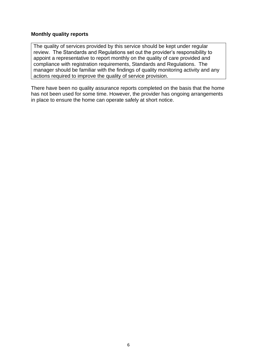#### **Monthly quality reports**

The quality of services provided by this service should be kept under regular review. The Standards and Regulations set out the provider's responsibility to appoint a representative to report monthly on the quality of care provided and compliance with registration requirements, Standards and Regulations. The manager should be familiar with the findings of quality monitoring activity and any actions required to improve the quality of service provision.

There have been no quality assurance reports completed on the basis that the home has not been used for some time. However, the provider has ongoing arrangements in place to ensure the home can operate safely at short notice.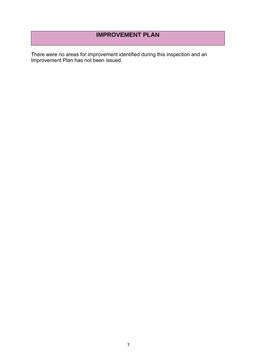# **IMPROVEMENT PLAN**

There were no areas for improvement identified during this inspection and an Improvement Plan has not been issued.